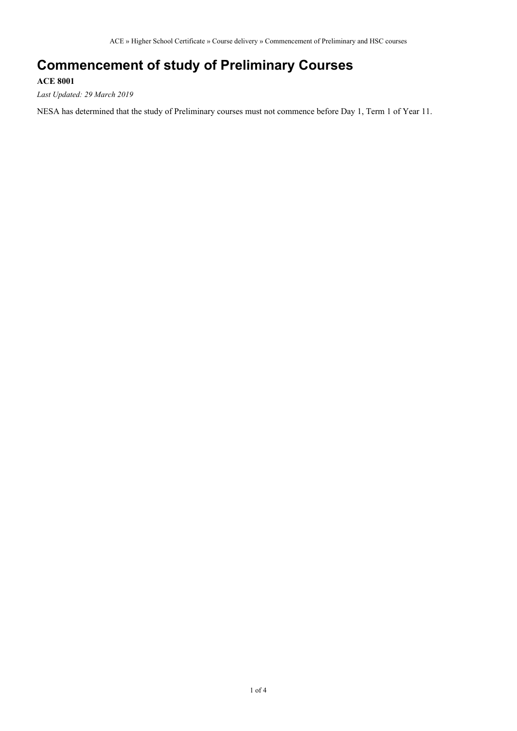## **Commencement of study of Preliminary Courses**

#### **ACE 8001**

*Last Updated: 29 March 2019*

NESA has determined that the study of Preliminary courses must not commence before Day 1, Term 1 of Year 11.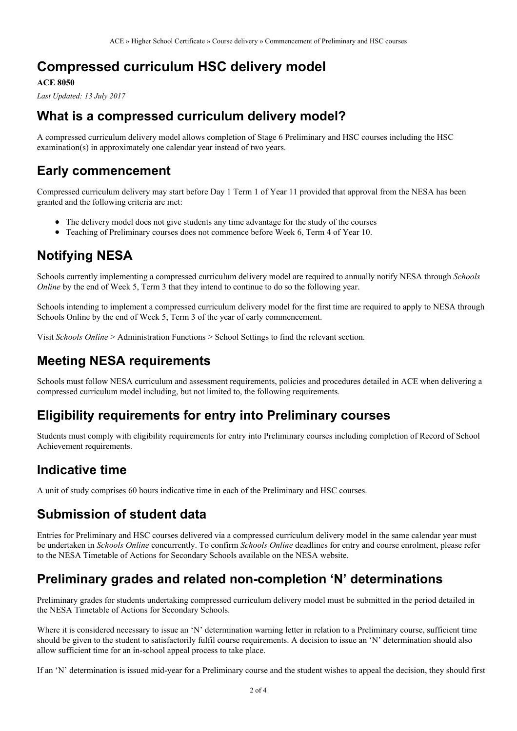# **Compressed curriculum HSC delivery model**

#### **ACE 8050**

*Last Updated: 13 July 2017*

## **What is a compressed curriculum delivery model?**

A compressed curriculum delivery model allows completion of Stage 6 Preliminary and HSC courses including the HSC examination(s) in approximately one calendar year instead of two years.

## **Early commencement**

Compressed curriculum delivery may start before Day 1 Term 1 of Year 11 provided that approval from the NESA has been granted and the following criteria are met:

- The delivery model does not give students any time advantage for the study of the courses
- Teaching of Preliminary courses does not commence before Week 6, Term 4 of Year 10.

# **Notifying NESA**

Schools currently implementing a compressed curriculum delivery model are required to annually notify NESA through *Schools Online* by the end of Week 5, Term 3 that they intend to continue to do so the following year.

Schools intending to implement a compressed curriculum delivery model for the first time are required to apply to NESA through Schools Online by the end of Week 5, Term 3 of the year of early commencement.

Visit *Schools Online* > Administration Functions > School Settings to find the relevant section.

# **Meeting NESA requirements**

Schools must follow NESA curriculum and assessment requirements, policies and procedures detailed in ACE when delivering a compressed curriculum model including, but not limited to, the following requirements.

### **Eligibility requirements for entry into Preliminary courses**

Students must comply with eligibility requirements for entry into Preliminary courses including completion of Record of School Achievement requirements.

### **Indicative time**

A unit of study comprises 60 hours indicative time in each of the Preliminary and HSC courses.

## **Submission of student data**

Entries for Preliminary and HSC courses delivered via a compressed curriculum delivery model in the same calendar year must be undertaken in *Schools Online* concurrently. To confirm *Schools Online* deadlines for entry and course enrolment, please refer to the NESA Timetable of Actions for Secondary Schools available on the NESA website.

### **Preliminary grades and related non-completion 'N' determinations**

Preliminary grades for students undertaking compressed curriculum delivery model must be submitted in the period detailed in the NESA Timetable of Actions for Secondary Schools.

Where it is considered necessary to issue an 'N' determination warning letter in relation to a Preliminary course, sufficient time should be given to the student to satisfactorily fulfil course requirements. A decision to issue an 'N' determination should also allow sufficient time for an in-school appeal process to take place.

If an 'N' determination is issued mid-year for a Preliminary course and the student wishes to appeal the decision, they should first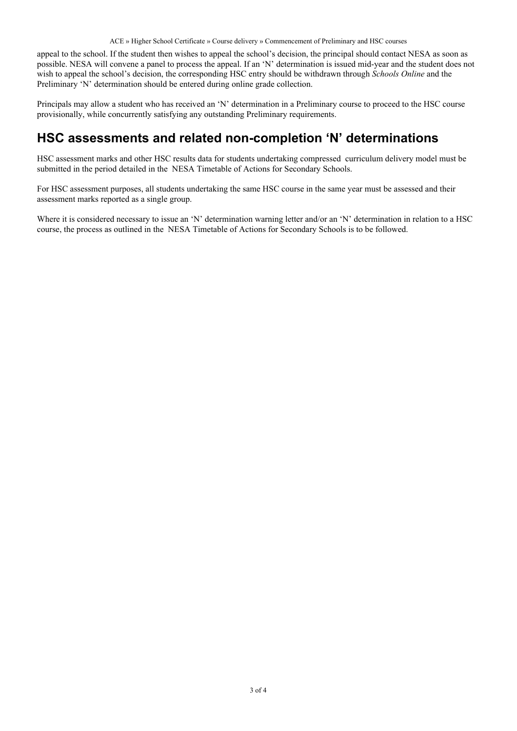ACE » Higher School Certificate » Course delivery » Commencement of Preliminary and HSC courses

appeal to the school. If the student then wishes to appeal the school's decision, the principal should contact NESA as soon as possible. NESA will convene a panel to process the appeal. If an 'N' determination is issued mid-year and the student does not wish to appeal the school's decision, the corresponding HSC entry should be withdrawn through *Schools Online* and the Preliminary 'N' determination should be entered during online grade collection.

Principals may allow a student who has received an 'N' determination in a Preliminary course to proceed to the HSC course provisionally, while concurrently satisfying any outstanding Preliminary requirements.

#### **HSC assessments and related non-completion 'N' determinations**

HSC assessment marks and other HSC results data for students undertaking compressed curriculum delivery model must be submitted in the period detailed in the NESA Timetable of Actions for Secondary Schools.

For HSC assessment purposes, all students undertaking the same HSC course in the same year must be assessed and their assessment marks reported as a single group.

Where it is considered necessary to issue an 'N' determination warning letter and/or an 'N' determination in relation to a HSC course, the process as outlined in the NESA Timetable of Actions for Secondary Schools is to be followed.